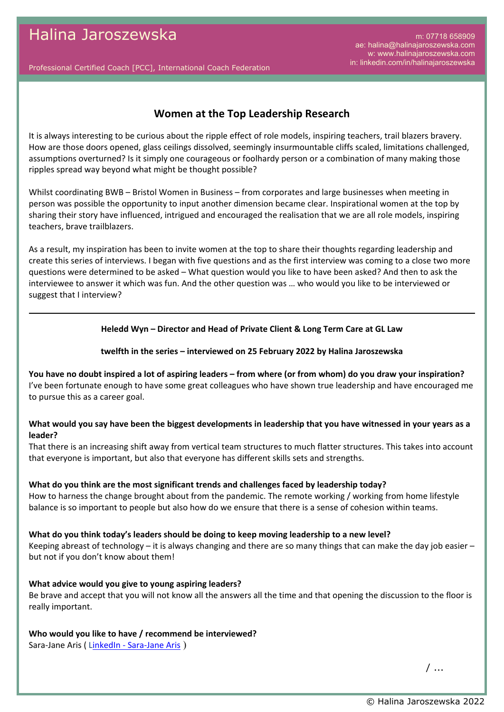m: 07718 658909 ae: halina@halinajaroszewska.com w: www.halinajaroszewska.com in: linkedin.com/in/halinajaroszewska

Professional Certified Coach [PCC], International Coach Federation

# **Women at the Top Leadership Research**

It is always interesting to be curious about the ripple effect of role models, inspiring teachers, trail blazers bravery. How are those doors opened, glass ceilings dissolved, seemingly insurmountable cliffs scaled, limitations challenged, assumptions overturned? Is it simply one courageous or foolhardy person or a combination of many making those ripples spread way beyond what might be thought possible?

Whilst coordinating BWB – Bristol Women in Business – from corporates and large businesses when meeting in person was possible the opportunity to input another dimension became clear. Inspirational women at the top by sharing their story have influenced, intrigued and encouraged the realisation that we are all role models, inspiring teachers, brave trailblazers.

As a result, my inspiration has been to invite women at the top to share their thoughts regarding leadership and create this series of interviews. I began with five questions and as the first interview was coming to a close two more questions were determined to be asked – What question would you like to have been asked? And then to ask the interviewee to answer it which was fun. And the other question was … who would you like to be interviewed or suggest that I interview?

#### **Heledd Wyn – Director and Head of Private Client & Long Term Care at GL Law**

#### **twelfth in the series – interviewed on 25 February 2022 by Halina Jaroszewska**

**You have no doubt inspired a lot of aspiring leaders – from where (or from whom) do you draw your inspiration?** I've been fortunate enough to have some great colleagues who have shown true leadership and have encouraged me to pursue this as a career goal.

# **What would you say have been the biggest developments in leadership that you have witnessed in your years as a leader?**

That there is an increasing shift away from vertical team structures to much flatter structures. This takes into account that everyone is important, but also that everyone has different skills sets and strengths.

### **What do you think are the most significant trends and challenges faced by leadership today?**

How to harness the change brought about from the pandemic. The remote working / working from home lifestyle balance is so important to people but also how do we ensure that there is a sense of cohesion within teams.

#### **What do you think today's leaders should be doing to keep moving leadership to a new level?**

Keeping abreast of technology – it is always changing and there are so many things that can make the day job easier – but not if you don't know about them!

### **What advice would you give to young aspiring leaders?**

Be brave and accept that you will not know all the answers all the time and that opening the discussion to the floor is really important.

### **Who would you like to have / recommend be interviewed?**

Sara-Jane Aris ( [LinkedIn - Sara-Jane Aris](https://www.linkedin.com/in/sarajane-aris-17399184/) )

/ ...